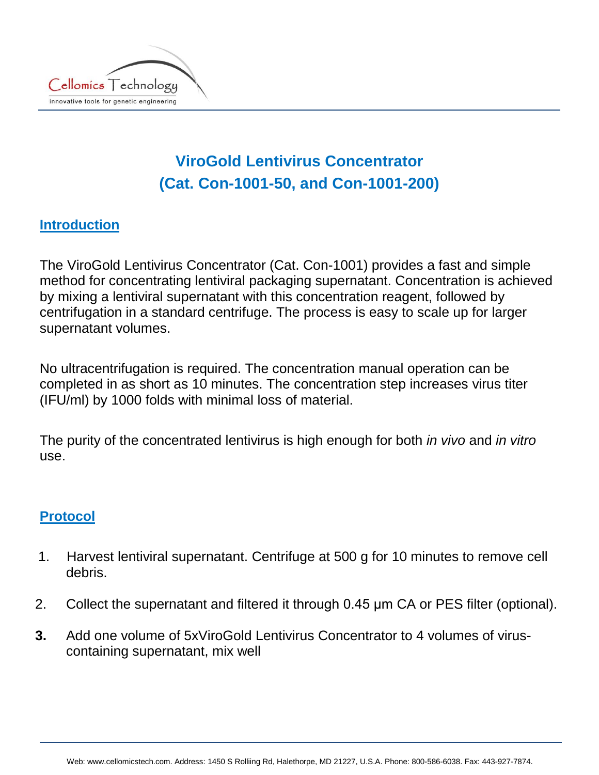

## **ViroGold Lentivirus Concentrator (Cat. Con-1001-50, and Con-1001-200)**

## **Introduction**

The ViroGold Lentivirus Concentrator (Cat. Con-1001) provides a fast and simple method for concentrating lentiviral packaging supernatant. Concentration is achieved by mixing a lentiviral supernatant with this concentration reagent, followed by centrifugation in a standard centrifuge. The process is easy to scale up for larger supernatant volumes.

No ultracentrifugation is required. The concentration manual operation can be completed in as short as 10 minutes. The concentration step increases virus titer (IFU/ml) by 1000 folds with minimal loss of material.

The purity of the concentrated lentivirus is high enough for both *in vivo* and *in vitro* use.

## **Protocol**

- 1. Harvest lentiviral supernatant. Centrifuge at 500 g for 10 minutes to remove cell debris.
- 2. Collect the supernatant and filtered it through 0.45 μm CA or PES filter (optional).
- **3.** Add one volume of 5xViroGold Lentivirus Concentrator to 4 volumes of viruscontaining supernatant, mix well